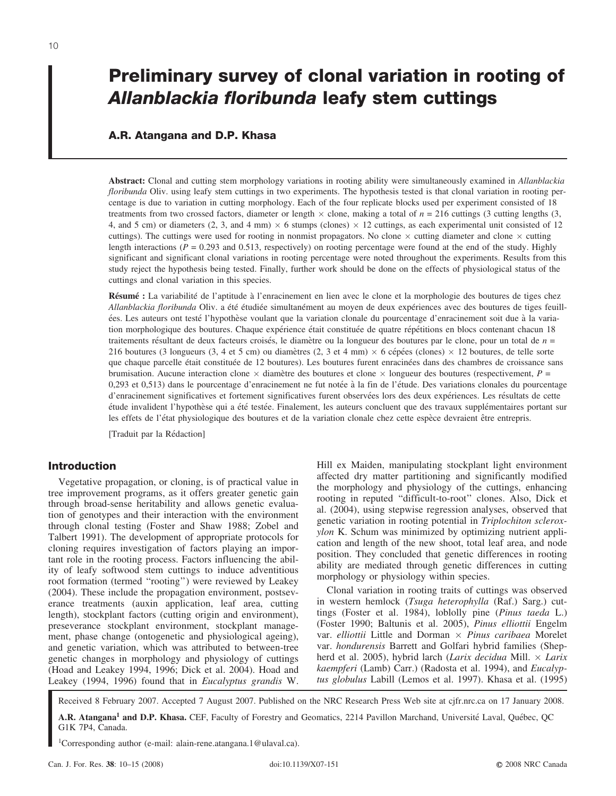# **Preliminary survey of clonal variation in rooting of** *Allanblackia floribunda* **leafy stem cuttings**

## **A.R. Atangana and D.P. Khasa**

**Abstract:** Clonal and cutting stem morphology variations in rooting ability were simultaneously examined in *Allanblackia floribunda* Oliv. using leafy stem cuttings in two experiments. The hypothesis tested is that clonal variation in rooting percentage is due to variation in cutting morphology. Each of the four replicate blocks used per experiment consisted of 18 treatments from two crossed factors, diameter or length  $\times$  clone, making a total of  $n = 216$  cuttings (3 cutting lengths (3, 4, and 5 cm) or diameters (2, 3, and 4 mm)  $\times$  6 stumps (clones)  $\times$  12 cuttings, as each experimental unit consisted of 12 cuttings). The cuttings were used for rooting in nonmist propagators. No clone  $\times$  cutting diameter and clone  $\times$  cutting length interactions ( $P = 0.293$  and 0.513, respectively) on rooting percentage were found at the end of the study. Highly significant and significant clonal variations in rooting percentage were noted throughout the experiments. Results from this study reject the hypothesis being tested. Finally, further work should be done on the effects of physiological status of the cuttings and clonal variation in this species.

Résumé : La variabilité de l'aptitude à l'enracinement en lien avec le clone et la morphologie des boutures de tiges chez *Allanblackia floribunda* Oliv. a été étudiée simultanément au moyen de deux expériences avec des boutures de tiges feuille´es. Les auteurs ont teste´ l'hypothe`se voulant que la variation clonale du pourcentage d'enracinement soit due a` la variation morphologique des boutures. Chaque expérience était constituée de quatre répétitions en blocs contenant chacun 18 traitements résultant de deux facteurs croisés, le diamètre ou la longueur des boutures par le clone, pour un total de *n* = 216 boutures (3 longueurs (3, 4 et 5 cm) ou diamètres (2, 3 et 4 mm)  $\times$  6 cépées (clones)  $\times$  12 boutures, de telle sorte que chaque parcelle était constituée de 12 boutures). Les boutures furent enracinées dans des chambres de croissance sans brumisation. Aucune interaction clone  $\times$  diamètre des boutures et clone  $\times$  longueur des boutures (respectivement, *P* = 0,293 et 0,513) dans le pourcentage d'enracinement ne fut notée à la fin de l'étude. Des variations clonales du pourcentage d'enracinement significatives et fortement significatives furent observées lors des deux expériences. Les résultats de cette étude invalident l'hypothèse qui a été testée. Finalement, les auteurs concluent que des travaux supplémentaires portant sur les effets de l'état physiologique des boutures et de la variation clonale chez cette espèce devraient être entrepris.

[Traduit par la Rédaction]

## **Introduction**

Vegetative propagation, or cloning, is of practical value in tree improvement programs, as it offers greater genetic gain through broad-sense heritability and allows genetic evaluation of genotypes and their interaction with the environment through clonal testing (Foster and Shaw 1988; Zobel and Talbert 1991). The development of appropriate protocols for cloning requires investigation of factors playing an important role in the rooting process. Factors influencing the ability of leafy softwood stem cuttings to induce adventitious root formation (termed ''rooting'') were reviewed by Leakey (2004). These include the propagation environment, postseverance treatments (auxin application, leaf area, cutting length), stockplant factors (cutting origin and environment), preseverance stockplant environment, stockplant management, phase change (ontogenetic and physiological ageing), and genetic variation, which was attributed to between-tree genetic changes in morphology and physiology of cuttings (Hoad and Leakey 1994, 1996; Dick et al. 2004). Hoad and Leakey (1994, 1996) found that in *Eucalyptus grandis* W.

Hill ex Maiden, manipulating stockplant light environment affected dry matter partitioning and significantly modified the morphology and physiology of the cuttings, enhancing rooting in reputed ''difficult-to-root'' clones. Also, Dick et al. (2004), using stepwise regression analyses, observed that genetic variation in rooting potential in *Triplochiton scleroxylon* K. Schum was minimized by optimizing nutrient application and length of the new shoot, total leaf area, and node position. They concluded that genetic differences in rooting ability are mediated through genetic differences in cutting morphology or physiology within species.

Clonal variation in rooting traits of cuttings was observed in western hemlock (*Tsuga heterophylla* (Raf.) Sarg.) cuttings (Foster et al. 1984), loblolly pine (*Pinus taeda* L.) (Foster 1990; Baltunis et al. 2005), *Pinus elliottii* Engelm var. *elliottii* Little and Dorman *Pinus caribaea* Morelet var. *hondurensis* Barrett and Golfari hybrid families (Shepherd et al. 2005), hybrid larch (*Larix decidua* Mill. *Larix kaempferi* (Lamb) Carr.) (Radosta et al. 1994), and *Eucalyptus globulus* Labill (Lemos et al. 1997). Khasa et al. (1995)

Received 8 February 2007. Accepted 7 August 2007. Published on the NRC Research Press Web site at cjfr.nrc.ca on 17 January 2008.

1Corresponding author (e-mail: alain-rene.atangana.1@ulaval.ca).

A.R. Atangana<sup>1</sup> and D.P. Khasa. CEF, Faculty of Forestry and Geomatics, 2214 Pavillon Marchand, Université Laval, Québec, QC G1K 7P4, Canada.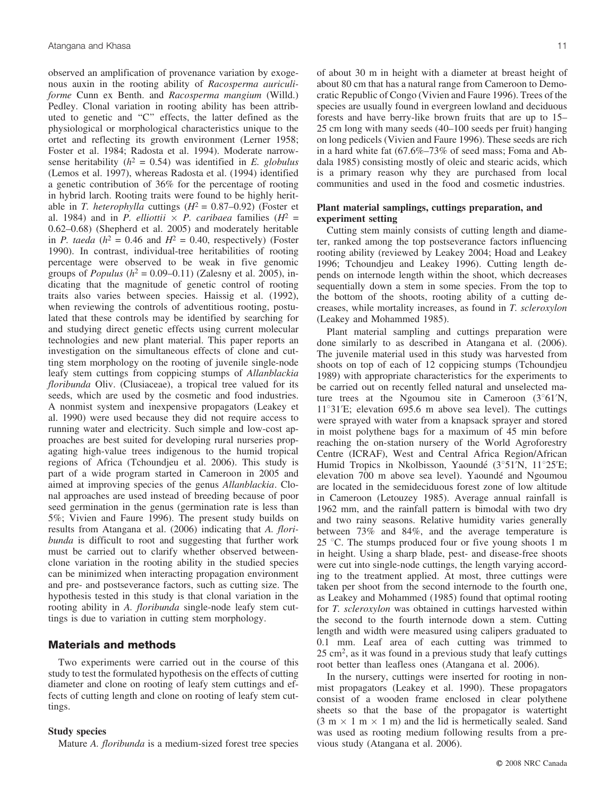observed an amplification of provenance variation by exogenous auxin in the rooting ability of *Racosperma auriculiforme* Cunn ex Benth. and *Racosperma mangium* (Willd.) Pedley. Clonal variation in rooting ability has been attributed to genetic and ''C'' effects, the latter defined as the physiological or morphological characteristics unique to the ortet and reflecting its growth environment (Lerner 1958; Foster et al. 1984; Radosta et al. 1994). Moderate narrowsense heritability  $(h^2 = 0.54)$  was identified in *E. globulus* (Lemos et al. 1997), whereas Radosta et al. (1994) identified a genetic contribution of 36% for the percentage of rooting in hybrid larch. Rooting traits were found to be highly heritable in *T. heterophylla* cuttings  $(H^2 = 0.87{\text -}0.92)$  (Foster et al. 1984) and in *P. elliottii*  $\times$  *P. caribaea* families ( $H^2$  = 0.62–0.68) (Shepherd et al. 2005) and moderately heritable in *P. taeda* ( $h^2 = 0.46$  and  $H^2 = 0.40$ , respectively) (Foster 1990). In contrast, individual-tree heritabilities of rooting percentage were observed to be weak in five genomic groups of *Populus* ( $h^2 = 0.09{\text -}0.11$ ) (Zalesny et al. 2005), indicating that the magnitude of genetic control of rooting traits also varies between species. Haissig et al. (1992), when reviewing the controls of adventitious rooting, postulated that these controls may be identified by searching for and studying direct genetic effects using current molecular technologies and new plant material. This paper reports an investigation on the simultaneous effects of clone and cutting stem morphology on the rooting of juvenile single-node leafy stem cuttings from coppicing stumps of *Allanblackia floribunda* Oliv. (Clusiaceae), a tropical tree valued for its seeds, which are used by the cosmetic and food industries. A nonmist system and inexpensive propagators (Leakey et al. 1990) were used because they did not require access to running water and electricity. Such simple and low-cost approaches are best suited for developing rural nurseries propagating high-value trees indigenous to the humid tropical regions of Africa (Tchoundjeu et al. 2006). This study is part of a wide program started in Cameroon in 2005 and aimed at improving species of the genus *Allanblackia*. Clonal approaches are used instead of breeding because of poor seed germination in the genus (germination rate is less than 5%; Vivien and Faure 1996). The present study builds on results from Atangana et al. (2006) indicating that *A. floribunda* is difficult to root and suggesting that further work must be carried out to clarify whether observed betweenclone variation in the rooting ability in the studied species can be minimized when interacting propagation environment and pre- and postseverance factors, such as cutting size. The hypothesis tested in this study is that clonal variation in the rooting ability in *A. floribunda* single-node leafy stem cuttings is due to variation in cutting stem morphology.

## **Materials and methods**

Two experiments were carried out in the course of this study to test the formulated hypothesis on the effects of cutting diameter and clone on rooting of leafy stem cuttings and effects of cutting length and clone on rooting of leafy stem cuttings.

#### **Study species**

Mature *A. floribunda* is a medium-sized forest tree species

of about 30 m in height with a diameter at breast height of about 80 cm that has a natural range from Cameroon to Democratic Republic of Congo (Vivien and Faure 1996). Trees of the species are usually found in evergreen lowland and deciduous forests and have berry-like brown fruits that are up to 15– 25 cm long with many seeds (40–100 seeds per fruit) hanging on long pedicels (Vivien and Faure 1996). These seeds are rich in a hard white fat (67.6%–73% of seed mass; Foma and Abdala 1985) consisting mostly of oleic and stearic acids, which is a primary reason why they are purchased from local communities and used in the food and cosmetic industries.

## **Plant material samplings, cuttings preparation, and experiment setting**

Cutting stem mainly consists of cutting length and diameter, ranked among the top postseverance factors influencing rooting ability (reviewed by Leakey 2004; Hoad and Leakey 1996; Tchoundjeu and Leakey 1996). Cutting length depends on internode length within the shoot, which decreases sequentially down a stem in some species. From the top to the bottom of the shoots, rooting ability of a cutting decreases, while mortality increases, as found in *T. scleroxylon* (Leakey and Mohammed 1985).

Plant material sampling and cuttings preparation were done similarly to as described in Atangana et al. (2006). The juvenile material used in this study was harvested from shoots on top of each of 12 coppicing stumps (Tchoundjeu 1989) with appropriate characteristics for the experiments to be carried out on recently felled natural and unselected mature trees at the Ngoumou site in Cameroon  $(3^{\circ}61'N,$  $11^{\circ}31'E$ ; elevation 695.6 m above sea level). The cuttings were sprayed with water from a knapsack sprayer and stored in moist polythene bags for a maximum of 45 min before reaching the on-station nursery of the World Agroforestry Centre (ICRAF), West and Central Africa Region/African Humid Tropics in Nkolbisson, Yaoundé (3°51'N, 11°25'E; elevation 700 m above sea level). Yaoundé and Ngoumou are located in the semideciduous forest zone of low altitude in Cameroon (Letouzey 1985). Average annual rainfall is 1962 mm, and the rainfall pattern is bimodal with two dry and two rainy seasons. Relative humidity varies generally between 73% and 84%, and the average temperature is 25  $\degree$ C. The stumps produced four or five young shoots 1 m in height. Using a sharp blade, pest- and disease-free shoots were cut into single-node cuttings, the length varying according to the treatment applied. At most, three cuttings were taken per shoot from the second internode to the fourth one, as Leakey and Mohammed (1985) found that optimal rooting for *T. scleroxylon* was obtained in cuttings harvested within the second to the fourth internode down a stem. Cutting length and width were measured using calipers graduated to 0.1 mm. Leaf area of each cutting was trimmed to 25 cm2, as it was found in a previous study that leafy cuttings root better than leafless ones (Atangana et al. 2006).

In the nursery, cuttings were inserted for rooting in nonmist propagators (Leakey et al. 1990). These propagators consist of a wooden frame enclosed in clear polythene sheets so that the base of the propagator is watertight  $(3 \text{ m} \times 1 \text{ m} \times 1 \text{ m})$  and the lid is hermetically sealed. Sand was used as rooting medium following results from a previous study (Atangana et al. 2006).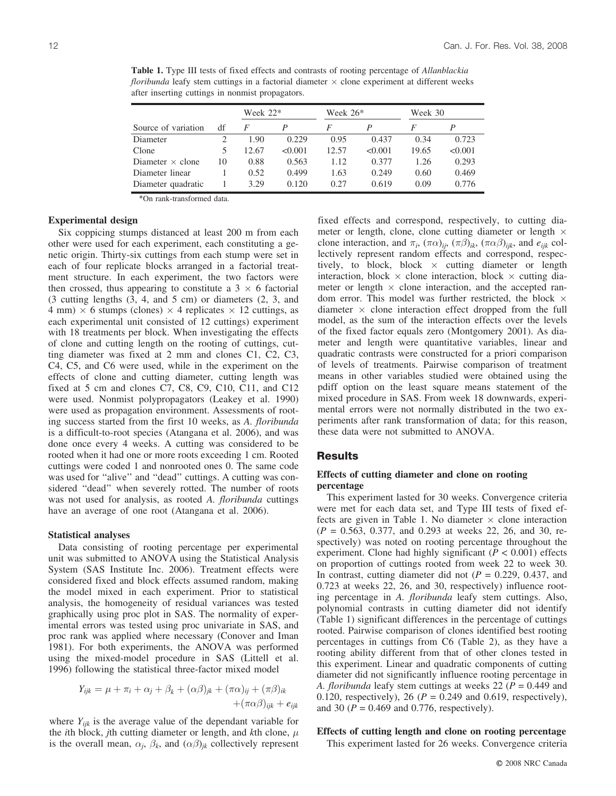**Table 1.** Type III tests of fixed effects and contrasts of rooting percentage of *Allanblackia floribunda* leafy stem cuttings in a factorial diameter  $\times$  clone experiment at different weeks after inserting cuttings in nonmist propagators.

|                         |    | Week $22*$ |         | Week 26* |         | Week 30 |         |
|-------------------------|----|------------|---------|----------|---------|---------|---------|
| Source of variation     | df | F          |         | F        |         | F       |         |
| Diameter                |    | 1.90       | 0.229   | 0.95     | 0.437   | 0.34    | 0.723   |
| Clone                   |    | 12.67      | < 0.001 | 12.57    | < 0.001 | 19.65   | < 0.001 |
| Diameter $\times$ clone | 10 | 0.88       | 0.563   | 1.12     | 0.377   | 1.26    | 0.293   |
| Diameter linear         |    | 0.52       | 0.499   | 1.63     | 0.249   | 0.60    | 0.469   |
| Diameter quadratic      |    | 3.29       | 0.120   | 0.27     | 0.619   | 0.09    | 0.776   |

\*On rank-transformed data.

## **Experimental design**

Six coppicing stumps distanced at least 200 m from each other were used for each experiment, each constituting a genetic origin. Thirty-six cuttings from each stump were set in each of four replicate blocks arranged in a factorial treatment structure. In each experiment, the two factors were then crossed, thus appearing to constitute a  $3 \times 6$  factorial (3 cutting lengths (3, 4, and 5 cm) or diameters (2, 3, and 4 mm)  $\times$  6 stumps (clones)  $\times$  4 replicates  $\times$  12 cuttings, as each experimental unit consisted of 12 cuttings) experiment with 18 treatments per block. When investigating the effects of clone and cutting length on the rooting of cuttings, cutting diameter was fixed at 2 mm and clones C1, C2, C3, C4, C5, and C6 were used, while in the experiment on the effects of clone and cutting diameter, cutting length was fixed at 5 cm and clones C7, C8, C9, C10, C11, and C12 were used. Nonmist polypropagators (Leakey et al. 1990) were used as propagation environment. Assessments of rooting success started from the first 10 weeks, as *A. floribunda* is a difficult-to-root species (Atangana et al. 2006), and was done once every 4 weeks. A cutting was considered to be rooted when it had one or more roots exceeding 1 cm. Rooted cuttings were coded 1 and nonrooted ones 0. The same code was used for "alive" and "dead" cuttings. A cutting was considered ''dead'' when severely rotted. The number of roots was not used for analysis, as rooted *A. floribunda* cuttings have an average of one root (Atangana et al. 2006).

#### **Statistical analyses**

Data consisting of rooting percentage per experimental unit was submitted to ANOVA using the Statistical Analysis System (SAS Institute Inc. 2006). Treatment effects were considered fixed and block effects assumed random, making the model mixed in each experiment. Prior to statistical analysis, the homogeneity of residual variances was tested graphically using proc plot in SAS. The normality of experimental errors was tested using proc univariate in SAS, and proc rank was applied where necessary (Conover and Iman 1981). For both experiments, the ANOVA was performed using the mixed-model procedure in SAS (Littell et al. 1996) following the statistical three-factor mixed model

$$
Y_{ijk} = \mu + \pi_i + \alpha_j + \beta_k + (\alpha \beta)_{jk} + (\pi \alpha)_{ij} + (\pi \beta)_{ik} + (\pi \alpha \beta)_{ijk} + e_{ijk}
$$

where  $Y_{ijk}$  is the average value of the dependant variable for the *i*th block, *j*th cutting diameter or length, and *k*th clone,  $\mu$ is the overall mean,  $\alpha_j$ ,  $\beta_k$ , and  $(\alpha\beta)_{jk}$  collectively represent fixed effects and correspond, respectively, to cutting diameter or length, clone, clone cutting diameter or length  $\times$ clone interaction, and  $\pi_i$ ,  $(\pi \alpha)_{ij}$ ,  $(\pi \beta)_{ik}$ ,  $(\pi \alpha \beta)_{ijk}$ , and  $e_{ijk}$  collectively represent random effects and correspond, respectively, to block, block  $\times$  cutting diameter or length interaction, block  $\times$  clone interaction, block  $\times$  cutting diameter or length  $\times$  clone interaction, and the accepted random error. This model was further restricted, the block  $\times$ diameter  $\times$  clone interaction effect dropped from the full model, as the sum of the interaction effects over the levels of the fixed factor equals zero (Montgomery 2001). As diameter and length were quantitative variables, linear and quadratic contrasts were constructed for a priori comparison of levels of treatments. Pairwise comparison of treatment means in other variables studied were obtained using the pdiff option on the least square means statement of the mixed procedure in SAS. From week 18 downwards, experimental errors were not normally distributed in the two experiments after rank transformation of data; for this reason, these data were not submitted to ANOVA.

### **Results**

## **Effects of cutting diameter and clone on rooting percentage**

This experiment lasted for 30 weeks. Convergence criteria were met for each data set, and Type III tests of fixed effects are given in Table 1. No diameter  $\times$  clone interaction (*P* = 0.563, 0.377, and 0.293 at weeks 22, 26, and 30, respectively) was noted on rooting percentage throughout the experiment. Clone had highly significant  $(P < 0.001)$  effects on proportion of cuttings rooted from week 22 to week 30. In contrast, cutting diameter did not  $(P = 0.229, 0.437,$  and 0.723 at weeks 22, 26, and 30, respectively) influence rooting percentage in *A. floribunda* leafy stem cuttings. Also, polynomial contrasts in cutting diameter did not identify (Table 1) significant differences in the percentage of cuttings rooted. Pairwise comparison of clones identified best rooting percentages in cuttings from C6 (Table 2), as they have a rooting ability different from that of other clones tested in this experiment. Linear and quadratic components of cutting diameter did not significantly influence rooting percentage in *A. floribunda* leafy stem cuttings at weeks 22 (*P* = 0.449 and 0.120, respectively), 26 ( $P = 0.249$  and 0.619, respectively), and 30 ( $P = 0.469$  and 0.776, respectively).

# **Effects of cutting length and clone on rooting percentage**

This experiment lasted for 26 weeks. Convergence criteria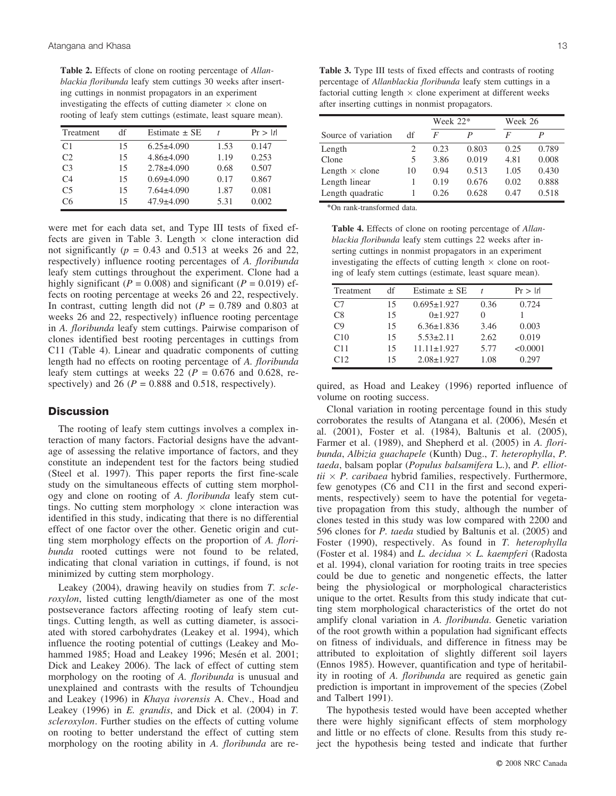**Table 2.** Effects of clone on rooting percentage of *Allanblackia floribunda* leafy stem cuttings 30 weeks after inserting cuttings in nonmist propagators in an experiment investigating the effects of cutting diameter  $\times$  clone on rooting of leafy stem cuttings (estimate, least square mean).

| Treatment      | df | Estimate $\pm$ SE |      | Pr >  t |
|----------------|----|-------------------|------|---------|
| C <sub>1</sub> | 15 | $6.25 \pm 4.090$  | 1.53 | 0.147   |
| C2             | 15 | $4.86 \pm 4.090$  | 1.19 | 0.253   |
| C <sub>3</sub> | 15 | $2.78 + 4.090$    | 0.68 | 0.507   |
| C <sub>4</sub> | 15 | $0.69{\pm}4.090$  | 0.17 | 0.867   |
| C <sub>5</sub> | 15 | $7.64 \pm 4.090$  | 1.87 | 0.081   |
| С6             | 15 | $47.9 \pm 4.090$  | 5.31 | 0.002   |

were met for each data set, and Type III tests of fixed effects are given in Table 3. Length  $\times$  clone interaction did not significantly ( $p = 0.43$  and 0.513 at weeks 26 and 22, respectively) influence rooting percentages of *A. floribunda* leafy stem cuttings throughout the experiment. Clone had a highly significant ( $P = 0.008$ ) and significant ( $P = 0.019$ ) effects on rooting percentage at weeks 26 and 22, respectively. In contrast, cutting length did not  $(P = 0.789)$  and 0.803 at weeks 26 and 22, respectively) influence rooting percentage in *A. floribunda* leafy stem cuttings. Pairwise comparison of clones identified best rooting percentages in cuttings from C11 (Table 4). Linear and quadratic components of cutting length had no effects on rooting percentage of *A. floribunda* leafy stem cuttings at weeks 22 ( $P = 0.676$  and 0.628, respectively) and 26 ( $P = 0.888$  and 0.518, respectively).

## **Discussion**

The rooting of leafy stem cuttings involves a complex interaction of many factors. Factorial designs have the advantage of assessing the relative importance of factors, and they constitute an independent test for the factors being studied (Steel et al. 1997). This paper reports the first fine-scale study on the simultaneous effects of cutting stem morphology and clone on rooting of *A. floribunda* leafy stem cuttings. No cutting stem morphology  $\times$  clone interaction was identified in this study, indicating that there is no differential effect of one factor over the other. Genetic origin and cutting stem morphology effects on the proportion of *A. floribunda* rooted cuttings were not found to be related, indicating that clonal variation in cuttings, if found, is not minimized by cutting stem morphology.

Leakey (2004), drawing heavily on studies from *T. scleroxylon*, listed cutting length/diameter as one of the most postseverance factors affecting rooting of leafy stem cuttings. Cutting length, as well as cutting diameter, is associated with stored carbohydrates (Leakey et al. 1994), which influence the rooting potential of cuttings (Leakey and Mohammed 1985; Hoad and Leakey 1996; Mesén et al. 2001; Dick and Leakey 2006). The lack of effect of cutting stem morphology on the rooting of *A. floribunda* is unusual and unexplained and contrasts with the results of Tchoundjeu and Leakey (1996) in *Khaya ivorensis* A. Chev., Hoad and Leakey (1996) in *E. grandis*, and Dick et al. (2004) in *T. scleroxylon*. Further studies on the effects of cutting volume on rooting to better understand the effect of cutting stem morphology on the rooting ability in *A. floribunda* are re-

**Table 3.** Type III tests of fixed effects and contrasts of rooting percentage of *Allanblackia floribunda* leafy stem cuttings in a factorial cutting length  $\times$  clone experiment at different weeks after inserting cuttings in nonmist propagators.

|                       |                             |      | Week 22* |      | Week 26 |
|-----------------------|-----------------------------|------|----------|------|---------|
| Source of variation   | df                          | F    | P        | F    | P       |
| Length                | $\mathcal{D}_{\mathcal{L}}$ | 0.23 | 0.803    | 0.25 | 0.789   |
| Clone                 | 5                           | 3.86 | 0.019    | 4.81 | 0.008   |
| Length $\times$ clone | 10                          | 0.94 | 0.513    | 1.05 | 0.430   |
| Length linear         |                             | 0.19 | 0.676    | 0.02 | 0.888   |
| Length quadratic      |                             | 0.26 | 0.628    | 0.47 | 0.518   |

\*On rank-transformed data.

**Table 4.** Effects of clone on rooting percentage of *Allanblackia floribunda* leafy stem cuttings 22 weeks after inserting cuttings in nonmist propagators in an experiment investigating the effects of cutting length  $\times$  clone on rooting of leafy stem cuttings (estimate, least square mean).

| Treatment      | df | Estimate $\pm$ SE |      | Pr >  t  |
|----------------|----|-------------------|------|----------|
| C <sub>7</sub> | 15 | $0.695 \pm 1.927$ | 0.36 | 0.724    |
| C8             | 15 | 0±1.927           | 0    |          |
| C <sub>9</sub> | 15 | $6.36 \pm 1.836$  | 3.46 | 0.003    |
| C10            | 15 | $5.53 \pm 2.11$   | 2.62 | 0.019    |
| C11            | 15 | $11.11 \pm 1.927$ | 5.77 | < 0.0001 |
| C12            | 15 | $2.08 \pm 1.927$  | 1.08 | 0.297    |

quired, as Hoad and Leakey (1996) reported influence of volume on rooting success.

Clonal variation in rooting percentage found in this study corroborates the results of Atangana et al. (2006), Mesén et al. (2001), Foster et al. (1984), Baltunis et al. (2005), Farmer et al. (1989), and Shepherd et al. (2005) in *A. floribunda*, *Albizia guachapele* (Kunth) Dug., *T. heterophylla*, *P. taeda*, balsam poplar (*Populus balsamifera* L.), and *P. elliot* $tii \times P$ . *caribaea* hybrid families, respectively. Furthermore, few genotypes (C6 and C11 in the first and second experiments, respectively) seem to have the potential for vegetative propagation from this study, although the number of clones tested in this study was low compared with 2200 and 596 clones for *P. taeda* studied by Baltunis et al. (2005) and Foster (1990), respectively. As found in *T. heterophylla* (Foster et al. 1984) and *L. decidua*  $\times$  *L. kaempferi* (Radosta et al. 1994), clonal variation for rooting traits in tree species could be due to genetic and nongenetic effects, the latter being the physiological or morphological characteristics unique to the ortet. Results from this study indicate that cutting stem morphological characteristics of the ortet do not amplify clonal variation in *A. floribunda*. Genetic variation of the root growth within a population had significant effects on fitness of individuals, and difference in fitness may be attributed to exploitation of slightly different soil layers (Ennos 1985). However, quantification and type of heritability in rooting of *A. floribunda* are required as genetic gain prediction is important in improvement of the species (Zobel and Talbert 1991).

The hypothesis tested would have been accepted whether there were highly significant effects of stem morphology and little or no effects of clone. Results from this study reject the hypothesis being tested and indicate that further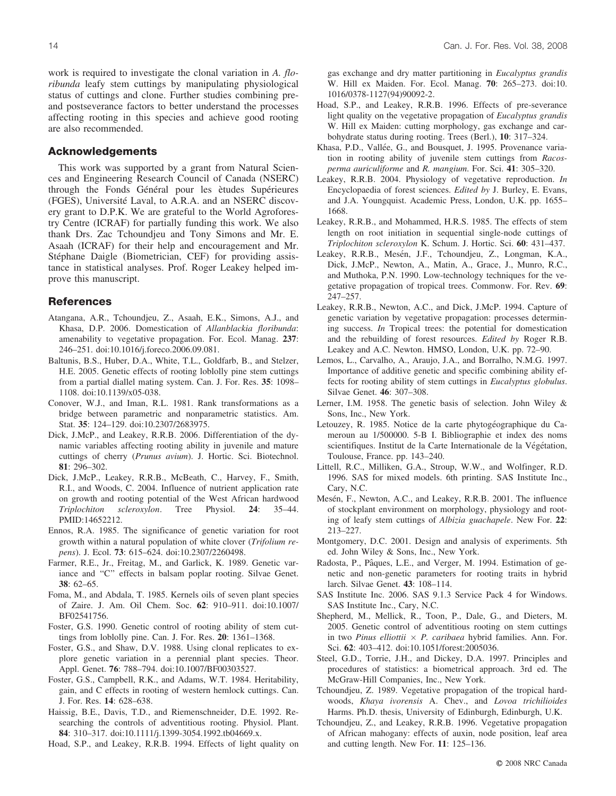work is required to investigate the clonal variation in *A. floribunda* leafy stem cuttings by manipulating physiological status of cuttings and clone. Further studies combining preand postseverance factors to better understand the processes affecting rooting in this species and achieve good rooting are also recommended.

## **Acknowledgements**

This work was supported by a grant from Natural Sciences and Engineering Research Council of Canada (NSERC) through the Fonds Général pour les ètudes Supérieures (FGES), Université Laval, to A.R.A. and an NSERC discovery grant to D.P.K. We are grateful to the World Agroforestry Centre (ICRAF) for partially funding this work. We also thank Drs. Zac Tchoundjeu and Tony Simons and Mr. E. Asaah (ICRAF) for their help and encouragement and Mr. Stéphane Daigle (Biometrician, CEF) for providing assistance in statistical analyses. Prof. Roger Leakey helped improve this manuscript.

## **References**

- Atangana, A.R., Tchoundjeu, Z., Asaah, E.K., Simons, A.J., and Khasa, D.P. 2006. Domestication of *Allanblackia floribunda*: amenability to vegetative propagation. For. Ecol. Manag. **237**: 246–251. doi:10.1016/j.foreco.2006.09.081.
- Baltunis, B.S., Huber, D.A., White, T.L., Goldfarb, B., and Stelzer, H.E. 2005. Genetic effects of rooting loblolly pine stem cuttings from a partial diallel mating system. Can. J. For. Res. **35**: 1098– 1108. doi:10.1139/x05-038.
- Conover, W.J., and Iman, R.L. 1981. Rank transformations as a bridge between parametric and nonparametric statistics. Am. Stat. **35**: 124–129. doi:10.2307/2683975.
- Dick, J.McP., and Leakey, R.R.B. 2006. Differentiation of the dynamic variables affecting rooting ability in juvenile and mature cuttings of cherry (*Prunus avium*). J. Hortic. Sci. Biotechnol. **81**: 296–302.
- Dick, J.McP., Leakey, R.R.B., McBeath, C., Harvey, F., Smith, R.I., and Woods, C. 2004. Influence of nutrient application rate on growth and rooting potential of the West African hardwood *Triplochiton scleroxylon*. Tree Physiol. **24**: 35–44. PMID:14652212.
- Ennos, R.A. 1985. The significance of genetic variation for root growth within a natural population of white clover (*Trifolium repens*). J. Ecol. **73**: 615–624. doi:10.2307/2260498.
- Farmer, R.E., Jr., Freitag, M., and Garlick, K. 1989. Genetic variance and ''C'' effects in balsam poplar rooting. Silvae Genet. **38**: 62–65.
- Foma, M., and Abdala, T. 1985. Kernels oils of seven plant species of Zaire. J. Am. Oil Chem. Soc. **62**: 910–911. doi:10.1007/ BF02541756.
- Foster, G.S. 1990. Genetic control of rooting ability of stem cuttings from loblolly pine. Can. J. For. Res. **20**: 1361–1368.
- Foster, G.S., and Shaw, D.V. 1988. Using clonal replicates to explore genetic variation in a perennial plant species. Theor. Appl. Genet. **76**: 788–794. doi:10.1007/BF00303527.
- Foster, G.S., Campbell, R.K., and Adams, W.T. 1984. Heritability, gain, and C effects in rooting of western hemlock cuttings. Can. J. For. Res. **14**: 628–638.
- Haissig, B.E., Davis, T.D., and Riemenschneider, D.E. 1992. Researching the controls of adventitious rooting. Physiol. Plant. **84**: 310–317. doi:10.1111/j.1399-3054.1992.tb04669.x.

Hoad, S.P., and Leakey, R.R.B. 1994. Effects of light quality on

gas exchange and dry matter partitioning in *Eucalyptus grandis* W. Hill ex Maiden. For. Ecol. Manag. **70**: 265–273. doi:10. 1016/0378-1127(94)90092-2.

- Hoad, S.P., and Leakey, R.R.B. 1996. Effects of pre-severance light quality on the vegetative propagation of *Eucalyptus grandis* W. Hill ex Maiden: cutting morphology, gas exchange and carbohydrate status during rooting. Trees (Berl.), **10**: 317–324.
- Khasa, P.D., Vallée, G., and Bousquet, J. 1995. Provenance variation in rooting ability of juvenile stem cuttings from *Racosperma auriculiforme* and *R. mangium*. For. Sci. **41**: 305–320.
- Leakey, R.R.B. 2004. Physiology of vegetative reproduction. *In* Encyclopaedia of forest sciences. *Edited by* J. Burley, E. Evans, and J.A. Youngquist. Academic Press, London, U.K. pp. 1655– 1668.
- Leakey, R.R.B., and Mohammed, H.R.S. 1985. The effects of stem length on root initiation in sequential single-node cuttings of *Triplochiton scleroxylon* K. Schum. J. Hortic. Sci. **60**: 431–437.
- Leakey, R.R.B., Mesén, J.F., Tchoundjeu, Z., Longman, K.A., Dick, J.McP., Newton, A., Matin, A., Grace, J., Munro, R.C., and Muthoka, P.N. 1990. Low-technology techniques for the vegetative propagation of tropical trees. Commonw. For. Rev. **69**: 247–257.
- Leakey, R.R.B., Newton, A.C., and Dick, J.McP. 1994. Capture of genetic variation by vegetative propagation: processes determining success. *In* Tropical trees: the potential for domestication and the rebuilding of forest resources. *Edited by* Roger R.B. Leakey and A.C. Newton. HMSO, London, U.K. pp. 72–90.
- Lemos, L., Carvalho, A., Araujo, J.A., and Borralho, N.M.G. 1997. Importance of additive genetic and specific combining ability effects for rooting ability of stem cuttings in *Eucalyptus globulus*. Silvae Genet. **46**: 307–308.
- Lerner, I.M. 1958. The genetic basis of selection. John Wiley & Sons, Inc., New York.
- Letouzey, R. 1985. Notice de la carte phytogéographique du Cameroun au 1/500000. 5-B I. Bibliographie et index des noms scientifiques. Institut de la Carte Internationale de la Végétation, Toulouse, France. pp. 143–240.
- Littell, R.C., Milliken, G.A., Stroup, W.W., and Wolfinger, R.D. 1996. SAS for mixed models. 6th printing. SAS Institute Inc., Cary, N.C.
- Mesén, F., Newton, A.C., and Leakey, R.R.B. 2001. The influence of stockplant environment on morphology, physiology and rooting of leafy stem cuttings of *Albizia guachapele*. New For. **22**: 213–227.
- Montgomery, D.C. 2001. Design and analysis of experiments. 5th ed. John Wiley & Sons, Inc., New York.
- Radosta, P., Pâques, L.E., and Verger, M. 1994. Estimation of genetic and non-genetic parameters for rooting traits in hybrid larch. Silvae Genet. **43**: 108–114.
- SAS Institute Inc. 2006. SAS 9.1.3 Service Pack 4 for Windows. SAS Institute Inc., Cary, N.C.
- Shepherd, M., Mellick, R., Toon, P., Dale, G., and Dieters, M. 2005. Genetic control of adventitious rooting on stem cuttings in two *Pinus elliottii*  $\times$  *P. caribaea* hybrid families. Ann. For. Sci. **62**: 403–412. doi:10.1051/forest:2005036.
- Steel, G.D., Torrie, J.H., and Dickey, D.A. 1997. Principles and procedures of statistics: a biometrical approach. 3rd ed. The McGraw-Hill Companies, Inc., New York.
- Tchoundjeu, Z. 1989. Vegetative propagation of the tropical hardwoods, *Khaya ivorensis* A. Chev., and *Lovoa trichilioides* Harms. Ph.D. thesis, University of Edinburgh, Edinburgh, U.K.
- Tchoundjeu, Z., and Leakey, R.R.B. 1996. Vegetative propagation of African mahogany: effects of auxin, node position, leaf area and cutting length. New For. **11**: 125–136.